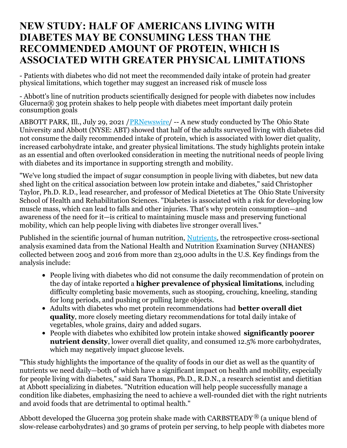## **NEW STUDY: HALF OF AMERICANS LIVING WITH DIABETES MAY BE CONSUMING LESS THAN THE RECOMMENDED AMOUNT OF PROTEIN, WHICH IS ASSOCIATED WITH GREATER PHYSICAL LIMITATIONS**

- Patients with diabetes who did not meet the recommended daily intake of protein had greater physical limitations, which together may suggest an increased risk of muscle loss

- Abbott's line of nutrition products scientifically designed for people with diabetes now includes Glucerna® 30g protein shakes to help people with diabetes meet important daily protein consumption goals

ABBOTT PARK, Ill., July 29, 2021 [/PRNewswire](http://www.prnewswire.com/)/ -- A new study conducted by The Ohio State University and Abbott (NYSE: ABT) showed that half of the adults surveyed living with diabetes did not consume the daily recommended intake of protein, which is associated with lower diet quality, increased carbohydrate intake, and greater physical limitations. The study highlights protein intake as an essential and often overlooked consideration in meeting the nutritional needs of people living with diabetes and its importance in supporting strength and mobility.

"We've long studied the impact of sugar consumption in people living with diabetes, but new data shed light on the critical association between low protein intake and diabetes," said Christopher Taylor, Ph.D. R.D., lead researcher, and professor of Medical Dietetics at The Ohio State University School of Health and Rehabilitation Sciences. "Diabetes is associated with a risk for developing low muscle mass, which can lead to falls and other injuries. That's why protein consumption—and awareness of the need for it—is critical to maintaining muscle mass and preserving functional mobility, which can help people living with diabetes live stronger overall lives."

Published in the scientific journal of human nutrition, [Nutrients](https://c212.net/c/link/?t=0&l=en&o=3242939-1&h=2245524364&u=https%3A%2F%2Fwww.mdpi.com%2F2072-6643%2F13%2F8%2F2582&a=Nutrients)*,* the retrospective cross-sectional analysis examined data from the National Health and Nutrition Examination Survey (NHANES) collected between 2005 and 2016 from more than 23,000 adults in the U.S. Key findings from the analysis include:

- People living with diabetes who did not consume the daily recommendation of protein on the day of intake reported a **higher prevalence of physical limitations**, including difficulty completing basic movements, such as stooping, crouching, kneeling, standing for long periods, and pushing or pulling large objects.
- Adults with diabetes who met protein recommendations had **better overall diet quality**, more closely meeting dietary recommendations for total daily intake of vegetables, whole grains, dairy and added sugars.
- People with diabetes who exhibited low protein intake showed **significantly poorer nutrient density**, lower overall diet quality, and consumed 12.5% more carbohydrates, which may negatively impact glucose levels.

"This study highlights the importance of the quality of foods in our diet as well as the quantity of nutrients we need daily—both of which have a significant impact on health and mobility, especially for people living with diabetes," said Sara Thomas, Ph.D., R.D.N., a research scientist and dietitian at Abbott specializing in diabetes. "Nutrition education will help people successfully manage a condition like diabetes, emphasizing the need to achieve a well-rounded diet with the right nutrients and avoid foods that are detrimental to optimal health."

Abbott developed the Glucerna 30g protein shake made with CARBSTEADY<sup>®</sup> (a unique blend of slow-release carbohydrates) and 30 grams of protein per serving, to help people with diabetes more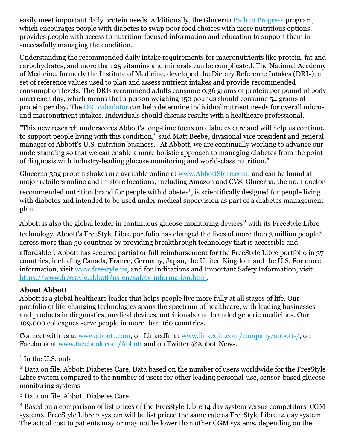easily meet important daily protein needs. Additionally, the Glucerna Path to [Progress](https://c212.net/c/link/?t=0&l=en&o=3242939-1&h=1410992672&u=https%3A%2F%2Fglucerna.com%2F30-day-path-to-progress%3Fcid%3Dsocial-an-glu-343%26utm_campaign%3Dglu-program-30%26utm_medium%3Dsocial%26utm_source%3Dglu-facebook%26utm_content%3Dglu-video-swap-save-start-today-trying-to-minimize-blood-sugar-spikes-give-us-30-days-and-well-give-you-tips-tools-and-helpful-advice-link-share-your-progress-here-using-pathtoprogress-to-receive-a-special-prize-february-2021%26utm_term%3Dsign-up&a=Path+to+Progress) program, which encourages people with diabetes to swap poor food choices with more nutritious options, provides people with access to nutrition-focused information and education to support them in successfully managing the condition.

Understanding the recommended daily intake requirements for macronutrients like protein, fat and carbohydrates, and more than 25 vitamins and minerals can be complicated. The National Academy of Medicine, formerly the Institute of Medicine, developed the Dietary Reference Intakes (DRIs), a set of reference values used to plan and assess nutrient intakes and provide recommended consumption levels. The DRIs recommend adults consume 0.36 grams of protein per pound of body mass each day, which means that a person weighing 150 pounds should consume 54 grams of protein per day. The DRI [calculator](https://c212.net/c/link/?t=0&l=en&o=3242939-1&h=2697675693&u=https%3A%2F%2Fwww.nal.usda.gov%2Ffnic%2Fdri-calculator%2F&a=DRI+calculator) can help determine individual nutrient needs for overall microand macronutrient intakes. Individuals should discuss results with a healthcare professional.

"This new research underscores Abbott's long-time focus on diabetes care and will help us continue to support people living with this condition," said Matt Beebe, divisional vice president and general manager of Abbott's U.S. nutrition business. "At Abbott, we are continually working to advance our understanding so that we can enable a more holistic approach to managing diabetes from the point of diagnosis with industry-leading glucose monitoring and world-class nutrition."

Glucerna 30g protein shakes are available online at [www.AbbottStore.com](https://c212.net/c/link/?t=0&l=en&o=3242939-1&h=1934377223&u=http%3A%2F%2Fwww.abbottstore.com%2F&a=www.AbbottStore.com), and can be found at major retailers online and in-store locations, including Amazon and CVS. Glucerna, the no. 1 doctor recommended nutrition brand for people with diabetes<sup>1</sup>, is scientifically designed for people living with diabetes and intended to be used under medical supervision as part of a diabetes management plan.

Abbott is also the global leader in continuous glucose monitoring devices<sup>2</sup> with its FreeStyle Libre technology. Abbott's FreeStyle Libre portfolio has changed the lives of more than 3 million people<sup>3</sup> across more than 50 countries by providing breakthrough technology that is accessible and affordable 4 . Abbott has secured partial or full reimbursement for the FreeStyle Libre portfolio in 37 countries, including Canada, France, Germany, Japan, the United Kingdom and the U.S. For more information, visit [www.freestyle.us](https://c212.net/c/link/?t=0&l=en&o=3242939-1&h=2375048033&u=https%3A%2F%2Fwww.freestyle.abbott%2F&a=www.freestyle.us), and for Indications and Important Safety Information, visit [https://www.freestyle.abbott/us-en/safety-information.html](https://c212.net/c/link/?t=0&l=en&o=3242939-1&h=3985221314&u=https%3A%2F%2Fwww.freestyle.abbott%2Fus-en%2Fsafety-information.html&a=https%3A%2F%2Fwww.freestyle.abbott%2Fus-en%2Fsafety-information.html).

## **About Abbott**

Abbott is a global healthcare leader that helps people live more fully at all stages of life. Our portfolio of life-changing technologies spans the spectrum of healthcare, with leading businesses and products in diagnostics, medical devices, nutritionals and branded generic medicines. Our 109,000 colleagues serve people in more than 160 countries.

Connect with us at [www.abbott.com](https://c212.net/c/link/?t=0&l=en&o=3242939-1&h=266082140&u=http%3A%2F%2Fwww.abbott.com%2F&a=www.abbott.com), on LinkedIn at [www.linkedin.com/company/abbott-/](https://c212.net/c/link/?t=0&l=en&o=3242939-1&h=880161464&u=http%3A%2F%2Fwww.linkedin.com%2Fcompany%2Fabbott-%2F&a=www.linkedin.com%2Fcompany%2Fabbott-%2F), on Facebook at [www.facebook.com/Abbott](https://c212.net/c/link/?t=0&l=en&o=3242939-1&h=323216491&u=http%3A%2F%2Fwww.facebook.com%2FAbbott&a=www.facebook.com%2FAbbott) and on Twitter @AbbottNews.

<sup>1</sup> In the U.S. only

<sup>2</sup> Data on file, Abbott Diabetes Care. Data based on the number of users worldwide for the FreeStyle Libre system compared to the number of users for other leading personal-use, sensor-based glucose monitoring systems

<sup>3</sup> Data on file, Abbott Diabetes Care

<sup>4</sup> Based on a comparison of list prices of the FreeStyle Libre 14 day system versus competitors' CGM systems. FreeStyle Libre 2 system will be list priced the same rate as FreeStyle Libre 14 day system. The actual cost to patients may or may not be lower than other CGM systems, depending on the